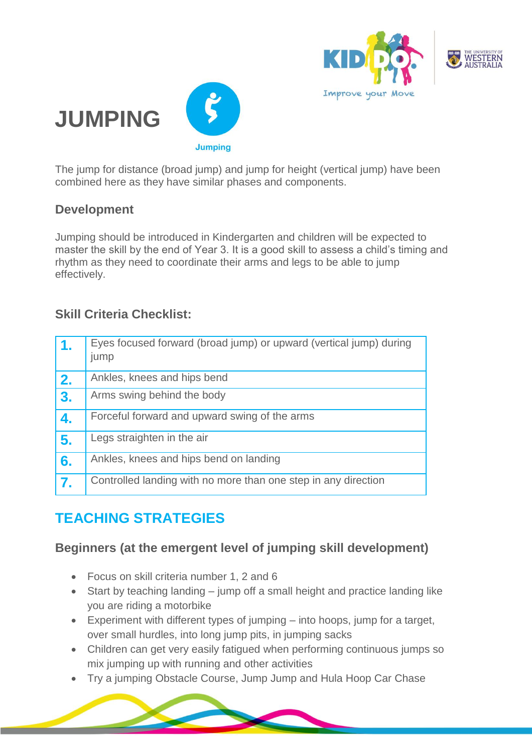





The jump for distance (broad jump) and jump for height (vertical jump) have been combined here as they have similar phases and components.

#### **Development**

Jumping should be introduced in Kindergarten and children will be expected to master the skill by the end of Year 3. It is a good skill to assess a child's timing and rhythm as they need to coordinate their arms and legs to be able to jump effectively.

#### **Skill Criteria Checklist:**

| 1. | Eyes focused forward (broad jump) or upward (vertical jump) during<br>jump |
|----|----------------------------------------------------------------------------|
| 2. | Ankles, knees and hips bend                                                |
| 3. | Arms swing behind the body                                                 |
| 4. | Forceful forward and upward swing of the arms                              |
| 5. | Legs straighten in the air                                                 |
| 6. | Ankles, knees and hips bend on landing                                     |
| 7. | Controlled landing with no more than one step in any direction             |

# **TEACHING STRATEGIES**

#### **Beginners (at the emergent level of jumping skill development)**

- Focus on skill criteria number 1, 2 and 6
- Start by teaching landing jump off a small height and practice landing like you are riding a motorbike
- Experiment with different types of jumping into hoops, jump for a target, over small hurdles, into long jump pits, in jumping sacks
- Children can get very easily fatigued when performing continuous jumps so mix jumping up with running and other activities
- Try a jumping [Obstacle Course,](https://www.kiddo.edu.au/activities/obstacle-course-run-jump-hop-skip-dodge-balance) [Jump Jump](https://www.kiddo.edu.au/activities/jump-jump) and [Hula Hoop Car Chase](https://www.kiddo.edu.au/activities/hula-hoop-car-trip)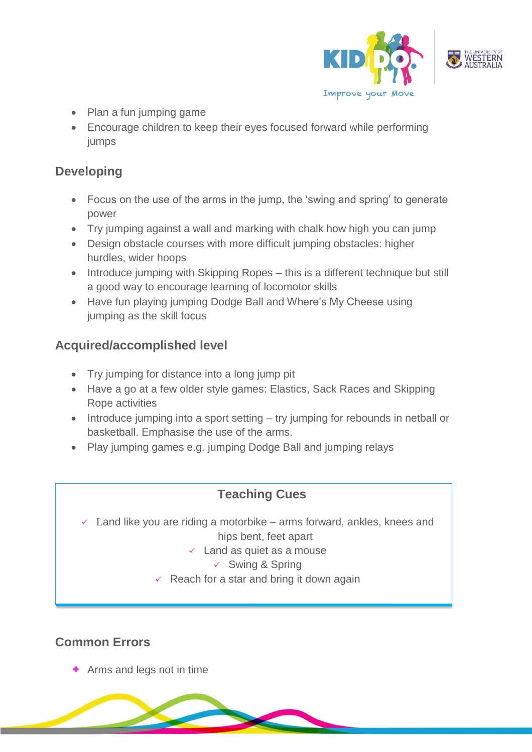

- Plan a fun jumping game
- Encourage children to keep their eyes focused forward while performing jumps

## **Developing**

- Focus on the use of the arms in the jump, the 'swing and spring' to generate power
- Try jumping against a wall and marking with chalk how high you can jump
- Design obstacle courses with more difficult jumping obstacles: higher hurdles, wider hoops
- Introduce [jumping with Skipping Ropes](https://www.kiddo.edu.au/activities/jump-rope-beginners) this is a different technique but still a good way to encourage learning of locomotor skills
- Have fun playing [jumping Dodge Ball](https://www.kiddo.edu.au/activities/dodge) and [Where's My Cheese](https://www.kiddo.edu.au/activities/who-stole-my-cheese) using jumping as the skill focus

### **Acquired/accomplished level**

- Try jumping for distance into a long jump pit
- Have a go at a few older style games: Elastics, Sack Races and Skipping [Rope](https://www.kiddo.edu.au/activities/jump-rope-beginners) activities
- Introduce jumping into a sport setting try jumping for rebounds in netball or basketball. Emphasise the use of the arms.
- Play jumping games e.g. [jumping Dodge Ball](https://www.kiddo.edu.au/activities/dodge) and [jumping relays](https://www.kiddo.edu.au/activities/hurdle-relay)

# **Teaching Cues**

Land like you are riding a motorbike – arms forward, ankles, knees and hips bent, feet apart

#### $\checkmark$  Land as quiet as a mouse

- $\checkmark$  Swing & Spring
- $\checkmark$  Reach for a star and bring it down again

# **Common Errors**

Arms and legs not in time